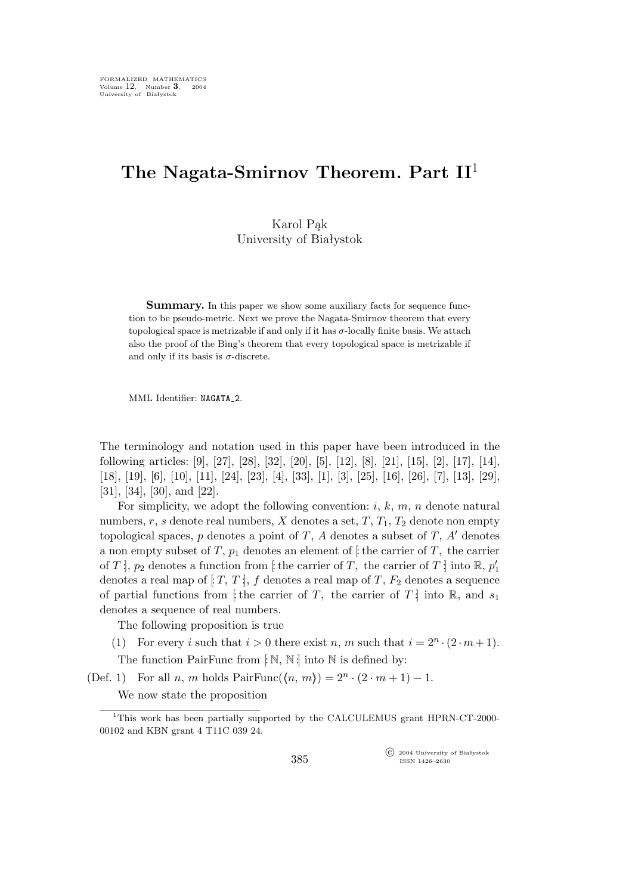## **The Nagata-Smirnov Theorem. Part II**<sup>1</sup>

Karol Pąk University of Białystok

**Summary.** In this paper we show some auxiliary facts for sequence function to be pseudo-metric. Next we prove the Nagata-Smirnov theorem that every topological space is metrizable if and only if it has  $\sigma$ -locally finite basis. We attach also the proof of the Bing's theorem that every topological space is metrizable if and only if its basis is  $\sigma$ -discrete.

MML Identifier: NAGATA\_2.

The terminology and notation used in this paper have been introduced in the following articles: [9], [27], [28], [32], [20], [5], [12], [8], [21], [15], [2], [17], [14], [18], [19], [6], [10], [11], [24], [23], [4], [33], [1], [3], [25], [16], [26], [7], [13], [29], [31], [34], [30], and [22].

For simplicity, we adopt the following convention:  $i, k, m, n$  denote natural numbers, r, s denote real numbers, X denotes a set,  $T$ ,  $T_1$ ,  $T_2$  denote non empty topological spaces, p denotes a point of T, A denotes a subset of T, A*′* denotes a non empty subset of T,  $p_1$  denotes an element of  $\sharp$  the carrier of T, the carrier of T  $\vert$ ,  $p_2$  denotes a function from  $\vert$  the carrier of T, the carrier of T  $\vert$  into  $\mathbb{R}, p'_1$ denotes a real map of  $[T, T]$ , f denotes a real map of T,  $F_2$  denotes a sequence of partial functions from [: the carrier of T, the carrier of T] into R, and  $s_1$ denotes a sequence of real numbers.

The following proposition is true

(1) For every *i* such that  $i > 0$  there exist *n*, *m* such that  $i = 2^n \cdot (2 \cdot m + 1)$ .

The function PairFunc from  $\lbrack \mathbb{N}, \mathbb{N} \rbrack$  into  $\mathbb{N}$  is defined by:

(Def. 1) For all *n*, *m* holds  $PairFunc(\langle n, m \rangle) = 2^n \cdot (2 \cdot m + 1) - 1$ .

We now state the proposition

°c 2004 University of Białystok ISSN 1426–2630

<sup>1</sup>This work has been partially supported by the CALCULEMUS grant HPRN-CT-2000- 00102 and KBN grant 4 T11C 039 24.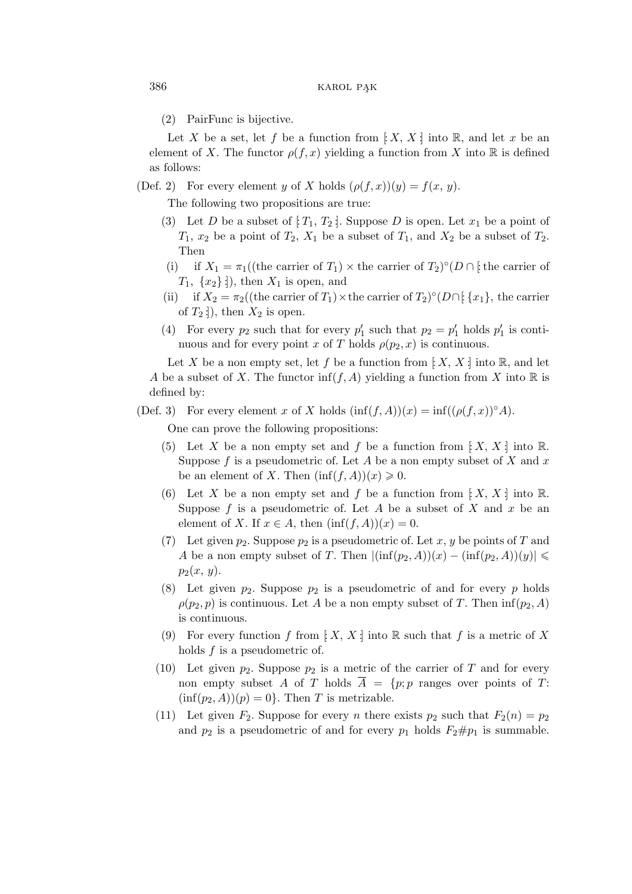(2) PairFunc is bijective.

Let X be a set, let f be a function from  $[X, X]$  into R, and let x be an element of X. The functor  $\rho(f, x)$  yielding a function from X into R is defined as follows:

(Def. 2) For every element y of X holds  $(\rho(f,x))(y) = f(x, y)$ .

The following two propositions are true:

- (3) Let D be a subset of  $[T_1, T_2]$ . Suppose D is open. Let  $x_1$  be a point of  $T_1$ ,  $x_2$  be a point of  $T_2$ ,  $X_1$  be a subset of  $T_1$ , and  $X_2$  be a subset of  $T_2$ . Then
- (i) if  $X_1 = \pi_1((\text{the carrier of } T_1) \times \text{the carrier of } T_2)^\circ (D \cap \{\text{the carrier of }$  $T_1, \{x_2\}$  :), then  $X_1$  is open, and
- (ii) if  $X_2 = \pi_2((\text{the carrier of } T_1) \times \text{the carrier of } T_2)^\circ(D \cap [\{x_1\}, \text{the carrier}]$ of  $T_2$  : ), then  $X_2$  is open.
- (4) For every  $p_2$  such that for every  $p'_1$  such that  $p_2 = p'_1$  holds  $p'_1$  is continuous and for every point x of T holds  $\rho(p_2, x)$  is continuous.

Let X be a non empty set, let f be a function from  $[X, X]$  into R, and let A be a subset of X. The functor  $\inf(f, A)$  yielding a function from X into R is defined by:

(Def. 3) For every element x of X holds  $(\inf(f, A))(x) = \inf((\rho(f, x))^{\circ}A)$ . One can prove the following propositions:

- (5) Let X be a non empty set and f be a function from  $[X, X]$  into R. Suppose f is a pseudometric of. Let A be a non empty subset of X and  $x$ be an element of X. Then  $(\inf(f, A))(x) \geq 0$ .
- (6) Let X be a non empty set and f be a function from  $[X, X]$  into R. Suppose  $f$  is a pseudometric of. Let  $A$  be a subset of  $X$  and  $x$  be an element of X. If  $x \in A$ , then  $(\inf(f, A))(x) = 0$ .
- (7) Let given  $p_2$ . Suppose  $p_2$  is a pseudometric of. Let x, y be points of T and A be a non empty subset of T. Then  $|(\inf(p_2,A))(x) - (\inf(p_2,A))(y)| \leq$  $p_2(x, y)$ .
- (8) Let given  $p_2$ . Suppose  $p_2$  is a pseudometric of and for every p holds  $\rho(p_2, p)$  is continuous. Let A be a non empty subset of T. Then  $\inf(p_2, A)$ is continuous.
- (9) For every function f from  $[X, X]$  into R such that f is a metric of X holds  $f$  is a pseudometric of.
- (10) Let given  $p_2$ . Suppose  $p_2$  is a metric of the carrier of T and for every non empty subset A of T holds  $\overline{A} = \{p; p \text{ ranges over points of } T\}$  $(inf(p<sub>2</sub>, A))(p) = 0$ . Then T is metrizable.
- (11) Let given  $F_2$ . Suppose for every *n* there exists  $p_2$  such that  $F_2(n) = p_2$ and  $p_2$  is a pseudometric of and for every  $p_1$  holds  $F_2 \# p_1$  is summable.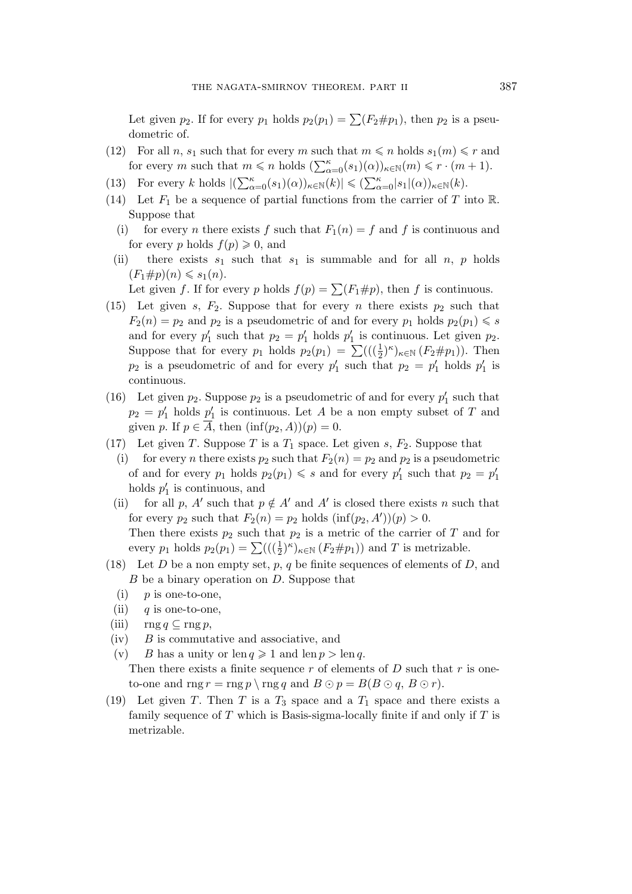Let given  $p_2$ . If for every  $p_1$  holds  $p_2(p_1) = \sum (F_2 \# p_1)$ , then  $p_2$  is a pseudometric of.

- (12) For all n,  $s_1$  such that for every m such that  $m \leq n$  holds  $s_1(m) \leq r$  and for every m such that  $m \le n$  holds  $(\sum_{\alpha=0}^{\kappa} (s_1)(\alpha))_{\kappa \in \mathbb{N}}(m) \le r \cdot (m+1)$ .
- (13) For every k holds  $|(\sum_{\alpha=0}^{\kappa} (s_1)(\alpha))_{\kappa \in \mathbb{N}}(k)| \leqslant (\sum_{\alpha=0}^{\kappa} |s_1|(\alpha))_{\kappa \in \mathbb{N}}(k)$ .
- (14) Let  $F_1$  be a sequence of partial functions from the carrier of T into R. Suppose that
	- (i) for every *n* there exists f such that  $F_1(n) = f$  and f is continuous and for every p holds  $f(p) \geqslant 0$ , and
	- (ii) there exists  $s_1$  such that  $s_1$  is summable and for all  $n, p$  holds  $(F_1 \# p)(n) \leqslant s_1(n)$ .

Let given f. If for every p holds  $f(p) = \sum (F_1 \# p)$ , then f is continuous.

- (15) Let given s,  $F_2$ . Suppose that for every n there exists  $p_2$  such that  $F_2(n) = p_2$  and  $p_2$  is a pseudometric of and for every  $p_1$  holds  $p_2(p_1) \leq s$ and for every  $p'_1$  such that  $p_2 = p'_1$  holds  $p'_1$  is continuous. Let given  $p_2$ . Suppose that for every  $p_1$  holds  $p_2(p_1) = \sum ((\frac{1}{2})^{\kappa})_{\kappa \in \mathbb{N}} (F_2 \# p_1)$ ). Then  $p_2$  is a pseudometric of and for every  $p'_1$  such that  $p_2 = p'_1$  holds  $p'_1$  is continuous.
- (16) Let given  $p_2$ . Suppose  $p_2$  is a pseudometric of and for every  $p'_1$  such that  $p_2 = p'_1$  holds  $p'_1$  is continuous. Let A be a non empty subset of T and given p. If  $p \in \overline{A}$ , then  $(\inf(p_2, A))(p) = 0$ .
- (17) Let given T. Suppose T is a  $T_1$  space. Let given s,  $F_2$ . Suppose that
	- (i) for every *n* there exists  $p_2$  such that  $F_2(n) = p_2$  and  $p_2$  is a pseudometric of and for every  $p_1$  holds  $p_2(p_1) \leq s$  and for every  $p'_1$  such that  $p_2 = p'_1$ holds  $p'_1$  is continuous, and
	- (ii) for all p, A' such that  $p \notin A'$  and A' is closed there exists n such that for every  $p_2$  such that  $F_2(n) = p_2$  holds  $(\inf(p_2, A'))(p) > 0$ . Then there exists  $p_2$  such that  $p_2$  is a metric of the carrier of T and for every  $p_1$  holds  $p_2(p_1) = \sum ((\left(\frac{1}{2}\right)^{\kappa})_{\kappa \in \mathbb{N}} (F_2 \# p_1))$  and T is metrizable.
- (18) Let D be a non empty set, p, q be finite sequences of elements of D, and B be a binary operation on D. Suppose that
	- $(i)$  p is one-to-one,
	- (ii) q is one-to-one,
- (iii)  $\text{rng } q \subseteq \text{rng } p,$
- $(iv)$  B is commutative and associative, and
- (v) B has a unity or  $\text{len } q \geq 1$  and  $\text{len } p > \text{len } q$ . Then there exists a finite sequence r of elements of  $D$  such that r is oneto-one and  $\text{rng } r = \text{rng } p \setminus \text{rng } q$  and  $B \odot p = B(B \odot q, B \odot r)$ .
- (19) Let given T. Then T is a  $T_3$  space and a  $T_1$  space and there exists a family sequence of T which is Basis-sigma-locally finite if and only if  $T$  is metrizable.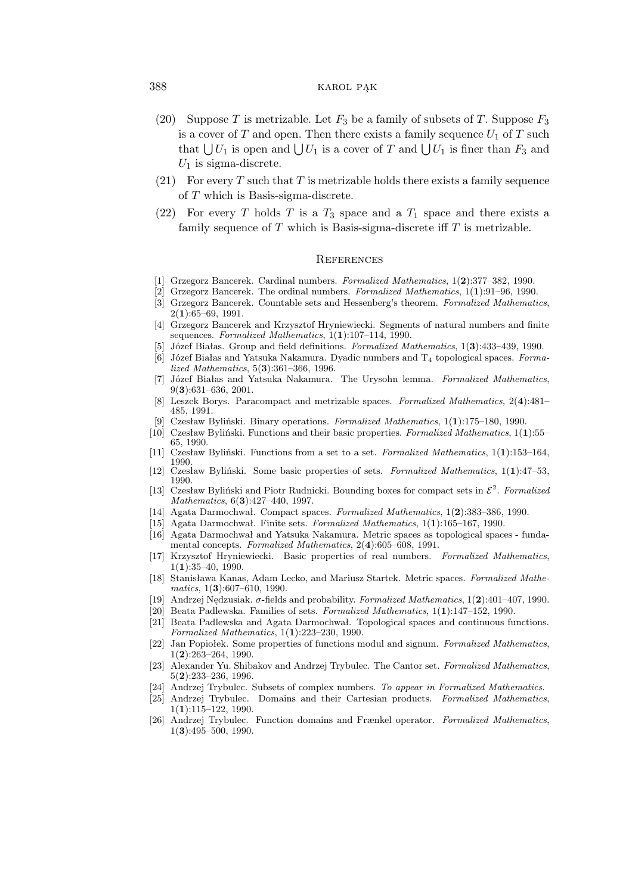## 388 KAROL PAK

- (20) Suppose T is metrizable. Let  $F_3$  be a family of subsets of T. Suppose  $F_3$ is a cover of T and open. Then there exists a family sequence  $U_1$  of T such that  $\bigcup U_1$  is open and  $\bigcup U_1$  is a cover of T and  $\bigcup U_1$  is finer than  $F_3$  and  $U_1$  is sigma-discrete.
- (21) For every T such that T is metrizable holds there exists a family sequence of T which is Basis-sigma-discrete.
- (22) For every T holds T is a  $T_3$  space and a  $T_1$  space and there exists a family sequence of  $T$  which is Basis-sigma-discrete iff  $T$  is metrizable.

## **REFERENCES**

- [1] Grzegorz Bancerek. Cardinal numbers. *Formalized Mathematics*, 1(**2**):377–382, 1990.
- [2] Grzegorz Bancerek. The ordinal numbers. *Formalized Mathematics*, 1(**1**):91–96, 1990.
- [3] Grzegorz Bancerek. Countable sets and Hessenberg's theorem. *Formalized Mathematics*, 2(**1**):65–69, 1991.
- [4] Grzegorz Bancerek and Krzysztof Hryniewiecki. Segments of natural numbers and finite sequences. *Formalized Mathematics*, 1(**1**):107–114, 1990.
- [5] Józef Białas. Group and field definitions. *Formalized Mathematics*, 1(**3**):433–439, 1990.
- [6] Józef Białas and Yatsuka Nakamura. Dyadic numbers and T<sup>4</sup> topological spaces. *Formalized Mathematics*, 5(**3**):361–366, 1996.
- [7] Józef Białas and Yatsuka Nakamura. The Urysohn lemma. *Formalized Mathematics*, 9(**3**):631–636, 2001.
- [8] Leszek Borys. Paracompact and metrizable spaces. *Formalized Mathematics*, 2(**4**):481– 485, 1991.
- [9] Czesław Byliński. Binary operations. *Formalized Mathematics*, 1(**1**):175–180, 1990.
- [10] Czesław Byliński. Functions and their basic properties. *Formalized Mathematics*, 1(**1**):55– 65, 1990.
- [11] Czesław Byliński. Functions from a set to a set. *Formalized Mathematics*, 1(**1**):153–164, 1990.
- [12] Czesław Byliński. Some basic properties of sets. *Formalized Mathematics*, 1(**1**):47–53, 1990.
- [13] Czesław Byliński and Piotr Rudnicki. Bounding boxes for compact sets in *E* 2 . *Formalized Mathematics*, 6(**3**):427–440, 1997.
- [14] Agata Darmochwał. Compact spaces. *Formalized Mathematics*, 1(**2**):383–386, 1990.
- [15] Agata Darmochwał. Finite sets. *Formalized Mathematics*, 1(**1**):165–167, 1990.
- [16] Agata Darmochwał and Yatsuka Nakamura. Metric spaces as topological spaces fundamental concepts. *Formalized Mathematics*, 2(**4**):605–608, 1991.
- [17] Krzysztof Hryniewiecki. Basic properties of real numbers. *Formalized Mathematics*, 1(**1**):35–40, 1990.
- [18] Stanisława Kanas, Adam Lecko, and Mariusz Startek. Metric spaces. *Formalized Mathematics*, 1(**3**):607–610, 1990.
- [19] Andrzej Nędzusiak. σ-fields and probability. *Formalized Mathematics*, 1(**2**):401–407, 1990.
- [20] Beata Padlewska. Families of sets. *Formalized Mathematics*, 1(**1**):147–152, 1990.
- [21] Beata Padlewska and Agata Darmochwał. Topological spaces and continuous functions. *Formalized Mathematics*, 1(**1**):223–230, 1990.
- [22] Jan Popiołek. Some properties of functions modul and signum. *Formalized Mathematics*, 1(**2**):263–264, 1990.
- [23] Alexander Yu. Shibakov and Andrzej Trybulec. The Cantor set. *Formalized Mathematics*, 5(**2**):233–236, 1996.
- [24] Andrzej Trybulec. Subsets of complex numbers. *To appear in Formalized Mathematics*.
- [25] Andrzej Trybulec. Domains and their Cartesian products. *Formalized Mathematics*, 1(**1**):115–122, 1990.
- [26] Andrzej Trybulec. Function domains and Frænkel operator. *Formalized Mathematics*, 1(**3**):495–500, 1990.